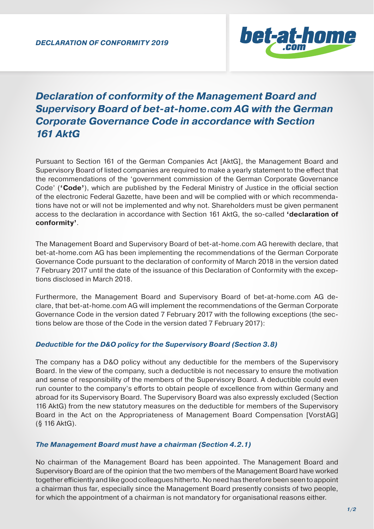

# *Declaration of conformity of the Management Board and Supervisory Board of bet-at-home.com AG with the German Corporate Governance Code in accordance with Section 161 AktG*

Pursuant to Section 161 of the German Companies Act [AktG], the Management Board and Supervisory Board of listed companies are required to make a yearly statement to the effect that the recommendations of the 'government commission of the German Corporate Governance Code' (**'Code'**), which are published by the Federal Ministry of Justice in the official section of the electronic Federal Gazette, have been and will be complied with or which recommendations have not or will not be implemented and why not. Shareholders must be given permanent access to the declaration in accordance with Section 161 AktG, the so-called **'declaration of conformity'**.

The Management Board and Supervisory Board of bet-at-home.com AG herewith declare, that bet-at-home.com AG has been implementing the recommendations of the German Corporate Governance Code pursuant to the declaration of conformity of March 2018 in the version dated 7 February 2017 until the date of the issuance of this Declaration of Conformity with the exceptions disclosed in March 2018.

Furthermore, the Management Board and Supervisory Board of bet-at-home.com AG declare, that bet-at-home.com AG will implement the recommendations of the German Corporate Governance Code in the version dated 7 February 2017 with the following exceptions (the sections below are those of the Code in the version dated 7 February 2017):

## *Deductible for the D&O policy for the Supervisory Board (Section 3.8)*

The company has a D&O policy without any deductible for the members of the Supervisory Board. In the view of the company, such a deductible is not necessary to ensure the motivation and sense of responsibility of the members of the Supervisory Board. A deductible could even run counter to the company's efforts to obtain people of excellence from within Germany and abroad for its Supervisory Board. The Supervisory Board was also expressly excluded (Section 116 AktG) from the new statutory measures on the deductible for members of the Supervisory Board in the Act on the Appropriateness of Management Board Compensation [VorstAG] (§ 116 AktG).

## *The Management Board must have a chairman (Section 4.2.1)*

No chairman of the Management Board has been appointed. The Management Board and Supervisory Board are of the opinion that the two members of the Management Board have worked together efficiently and like good colleagues hitherto. No need has therefore been seen to appoint a chairman thus far, especially since the Management Board presently consists of two people, for which the appointment of a chairman is not mandatory for organisational reasons either.